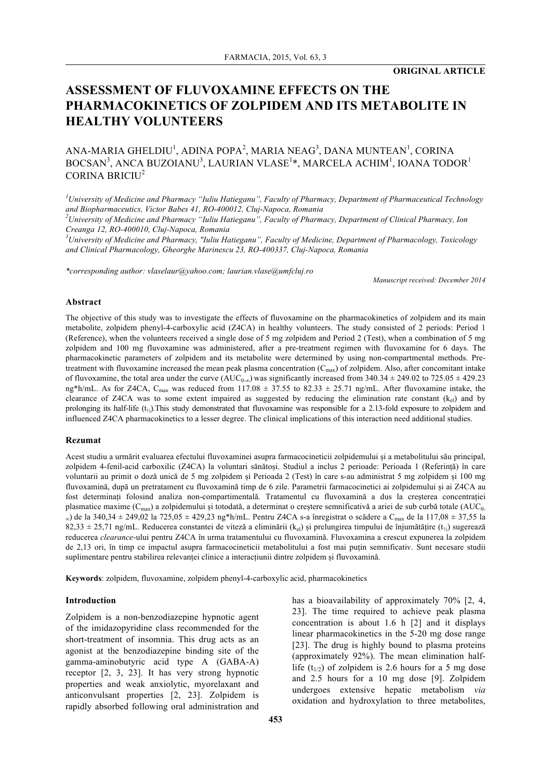# **ASSESSMENT OF FLUVOXAMINE EFFECTS ON THE PHARMACOKINETICS OF ZOLPIDEM AND ITS METABOLITE IN HEALTHY VOLUNTEERS**

# ANA-MARIA GHELDIU<sup>1</sup>, ADINA POPA<sup>2</sup>, MARIA NEAG<sup>3</sup>, DANA MUNTEAN<sup>1</sup>, CORINA  $\mathrm{BOCSAN}^3,$  ANCA BUZOIANU $^3,$  LAURIAN VLASE $^{1*},$  MARCELA ACHIM $^1,$  IOANA TODOR $^1$ CORINA BRICIU<sup>2</sup>

*1 University of Medicine and Pharmacy "Iuliu Hatieganu", Faculty of Pharmacy, Department of Pharmaceutical Technology and Biopharmaceutics, Victor Babes 41, RO-400012, Cluj-Napoca, Romania 2*

*University of Medicine and Pharmacy "Iuliu Hatieganu", Faculty of Pharmacy, Department of Clinical Pharmacy, Ion Creanga 12, RO-400010, Cluj-Napoca, Romania*

*3 University of Medicine and Pharmacy, "Iuliu Hatieganu", Faculty of Medicine, Department of Pharmacology, Toxicology and Clinical Pharmacology, Gheorghe Marinescu 23, RO-400337, Cluj-Napoca, Romania*

*\*corresponding author: vlaselaur@yahoo.com; laurian.vlase@umfcluj.ro*

*Manuscript received: December 2014*

#### **Abstract**

The objective of this study was to investigate the effects of fluvoxamine on the pharmacokinetics of zolpidem and its main metabolite, zolpidem phenyl-4-carboxylic acid (Z4CA) in healthy volunteers. The study consisted of 2 periods: Period 1 (Reference), when the volunteers received a single dose of 5 mg zolpidem and Period 2 (Test), when a combination of 5 mg zolpidem and 100 mg fluvoxamine was administered, after a pre-treatment regimen with fluvoxamine for 6 days. The pharmacokinetic parameters of zolpidem and its metabolite were determined by using non-compartmental methods. Pretreatment with fluvoxamine increased the mean peak plasma concentration  $(C_{\text{max}})$  of zolpidem. Also, after concomitant intake of fluvoxamine, the total area under the curve  $(AUC_{0-\infty})$  was significantly increased from 340.34  $\pm$  249.02 to 725.05  $\pm$  429.23 ng\*h/mL. As for Z4CA, C<sub>max</sub> was reduced from 117.08  $\pm$  37.55 to 82.33  $\pm$  25.71 ng/mL. After fluvoxamine intake, the clearance of Z4CA was to some extent impaired as suggested by reducing the elimination rate constant  $(k_{el})$  and by prolonging its half-life  $(t_{\lambda})$ . This study demonstrated that fluvoxamine was responsible for a 2.13-fold exposure to zolpidem and influenced Z4CA pharmacokinetics to a lesser degree. The clinical implications of this interaction need additional studies.

#### **Rezumat**

Acest studiu a urmărit evaluarea efectului fluvoxaminei asupra farmacocineticii zolpidemului și a metabolitului său principal, zolpidem 4-fenil-acid carboxilic (Z4CA) la voluntari sănătoși. Studiul a inclus 2 perioade: Perioada 1 (Referință) în care voluntarii au primit o doză unică de 5 mg zolpidem și Perioada 2 (Test) în care s-au administrat 5 mg zolpidem și 100 mg fluvoxamină, după un pretratament cu fluvoxamină timp de 6 zile. Parametrii farmacocinetici ai zolpidemului și ai Z4CA au fost determinați folosind analiza non-compartimentală. Tratamentul cu fluvoxamină a dus la creșterea concentrației plasmatice maxime (C<sub>max</sub>) a zolpidemului și totodată, a determinat o creștere semnificativă a ariei de sub curbă totale (AUC<sub>0-</sub>  $_{\infty}$ ) de la 340,34 ± 249,02 la 725,05 ± 429,23 ng\*h/mL. Pentru Z4CA s-a înregistrat o scădere a C<sub>max</sub> de la 117,08 ± 37,55 la 82,33 ± 25,71 ng/mL. Reducerea constantei de viteză a eliminării (k<sub>el</sub>) și prelungirea timpului de înjumătățire (t<sub>/2</sub>) sugerează reducerea *clearance*-ului pentru Z4CA în urma tratamentului cu fluvoxamină. Fluvoxamina a crescut expunerea la zolpidem de 2,13 ori, în timp ce impactul asupra farmacocineticii metabolitului a fost mai puțin semnificativ. Sunt necesare studii suplimentare pentru stabilirea relevanței clinice a interacțiunii dintre zolpidem și fluvoxamină.

**Keywords**: zolpidem, fluvoxamine, zolpidem phenyl-4-carboxylic acid, pharmacokinetics

#### **Introduction**

Zolpidem is a non-benzodiazepine hypnotic agent of the imidazopyridine class recommended for the short-treatment of insomnia. This drug acts as an agonist at the benzodiazepine binding site of the gamma-aminobutyric acid type A (GABA-A) receptor [2, 3, 23]. It has very strong hypnotic properties and weak anxiolytic, myorelaxant and anticonvulsant properties [2, 23]. Zolpidem is rapidly absorbed following oral administration and

has a bioavailability of approximately 70% [2, 4, 23]. The time required to achieve peak plasma concentration is about 1.6 h [2] and it displays linear pharmacokinetics in the 5-20 mg dose range [23]. The drug is highly bound to plasma proteins (approximately 92%). The mean elimination halflife  $(t_{1/2})$  of zolpidem is 2.6 hours for a 5 mg dose and 2.5 hours for a 10 mg dose [9]. Zolpidem undergoes extensive hepatic metabolism *via* oxidation and hydroxylation to three metabolites,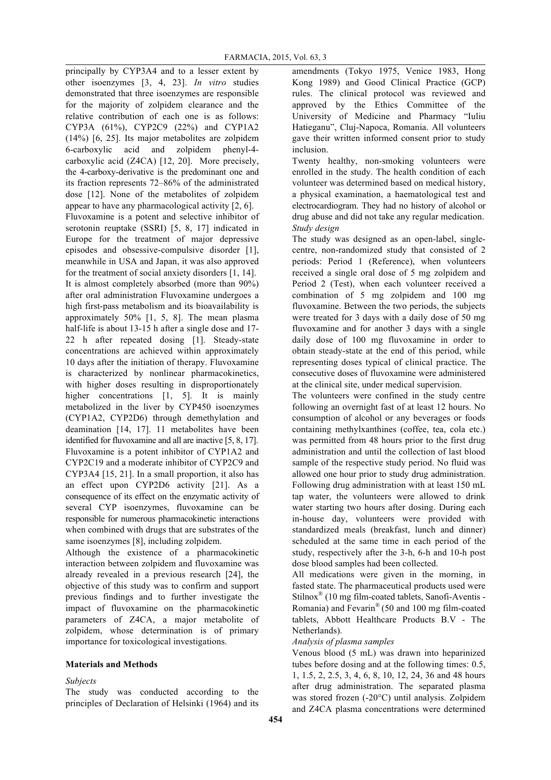principally by CYP3A4 and to a lesser extent by other isoenzymes [3, 4, 23]. *In vitro* studies demonstrated that three isoenzymes are responsible for the majority of zolpidem clearance and the relative contribution of each one is as follows: CYP3A (61%), CYP2C9 (22%) and CYP1A2 (14%) [6, 25]. Its major metabolites are zolpidem 6-carboxylic acid and zolpidem phenyl-4 carboxylic acid (Z4CA) [12, 20]. More precisely, the 4-carboxy-derivative is the predominant one and its fraction represents 72–86% of the administrated dose [12]. None of the metabolites of zolpidem appear to have any pharmacological activity [2, 6]. Fluvoxamine is a potent and selective inhibitor of serotonin reuptake (SSRI) [5, 8, 17] indicated in Europe for the treatment of major depressive episodes and obsessive-compulsive disorder [1], meanwhile in USA and Japan, it was also approved for the treatment of social anxiety disorders [1, 14]. It is almost completely absorbed (more than 90%) after oral administration Fluvoxamine undergoes a high first-pass metabolism and its bioavailability is approximately 50% [1, 5, 8]. The mean plasma half-life is about 13-15 h after a single dose and 17-22 h after repeated dosing [1]. Steady-state concentrations are achieved within approximately 10 days after the initiation of therapy. Fluvoxamine is characterized by nonlinear pharmacokinetics, with higher doses resulting in disproportionately higher concentrations [1, 5]. It is mainly metabolized in the liver by CYP450 isoenzymes (CYP1A2, CYP2D6) through demethylation and deamination [14, 17]. 11 metabolites have been identified for fluvoxamine and all are inactive [5, 8, 17]. Fluvoxamine is a potent inhibitor of CYP1A2 and CYP2C19 and a moderate inhibitor of CYP2C9 and CYP3A4 [15, 21]. In a small proportion, it also has an effect upon CYP2D6 activity [21]. As a consequence of its effect on the enzymatic activity of several CYP isoenzymes, fluvoxamine can be responsible for numerous pharmacokinetic interactions when combined with drugs that are substrates of the same isoenzymes [8], including zolpidem.

Although the existence of a pharmacokinetic interaction between zolpidem and fluvoxamine was already revealed in a previous research [24], the objective of this study was to confirm and support previous findings and to further investigate the impact of fluvoxamine on the pharmacokinetic parameters of Z4CA, a major metabolite of zolpidem, whose determination is of primary importance for toxicological investigations.

# **Materials and Methods**

# *Subjects*

The study was conducted according to the principles of Declaration of Helsinki (1964) and its

amendments (Tokyo 1975, Venice 1983, Hong Kong 1989) and Good Clinical Practice (GCP) rules. The clinical protocol was reviewed and approved by the Ethics Committee of the University of Medicine and Pharmacy "Iuliu Hatieganu", Cluj-Napoca, Romania. All volunteers gave their written informed consent prior to study inclusion.

Twenty healthy, non-smoking volunteers were enrolled in the study. The health condition of each volunteer was determined based on medical history, a physical examination, a haematological test and electrocardiogram. They had no history of alcohol or drug abuse and did not take any regular medication. *Study design*

The study was designed as an open-label, singlecentre, non-randomized study that consisted of 2 periods: Period 1 (Reference), when volunteers received a single oral dose of 5 mg zolpidem and Period 2 (Test), when each volunteer received a combination of 5 mg zolpidem and 100 mg fluvoxamine. Between the two periods, the subjects were treated for 3 days with a daily dose of 50 mg fluvoxamine and for another 3 days with a single daily dose of 100 mg fluvoxamine in order to obtain steady-state at the end of this period, while representing doses typical of clinical practice. The consecutive doses of fluvoxamine were administered at the clinical site, under medical supervision.

The volunteers were confined in the study centre following an overnight fast of at least 12 hours. No consumption of alcohol or any beverages or foods containing methylxanthines (coffee, tea, cola etc.) was permitted from 48 hours prior to the first drug administration and until the collection of last blood sample of the respective study period. No fluid was allowed one hour prior to study drug administration. Following drug administration with at least 150 mL tap water, the volunteers were allowed to drink water starting two hours after dosing. During each in-house day, volunteers were provided with standardized meals (breakfast, lunch and dinner) scheduled at the same time in each period of the study, respectively after the 3-h, 6-h and 10-h post dose blood samples had been collected.

All medications were given in the morning, in fasted state. The pharmaceutical products used were Stilnox® (10 mg film-coated tablets, Sanofi-Aventis - Romania) and Fevarin® (50 and 100 mg film-coated tablets, Abbott Healthcare Products B.V - The Netherlands).

# *Analysis of plasma samples*

Venous blood (5 mL) was drawn into heparinized tubes before dosing and at the following times: 0.5, 1, 1.5, 2, 2.5, 3, 4, 6, 8, 10, 12, 24, 36 and 48 hours after drug administration. The separated plasma was stored frozen (-20°C) until analysis. Zolpidem and Z4CA plasma concentrations were determined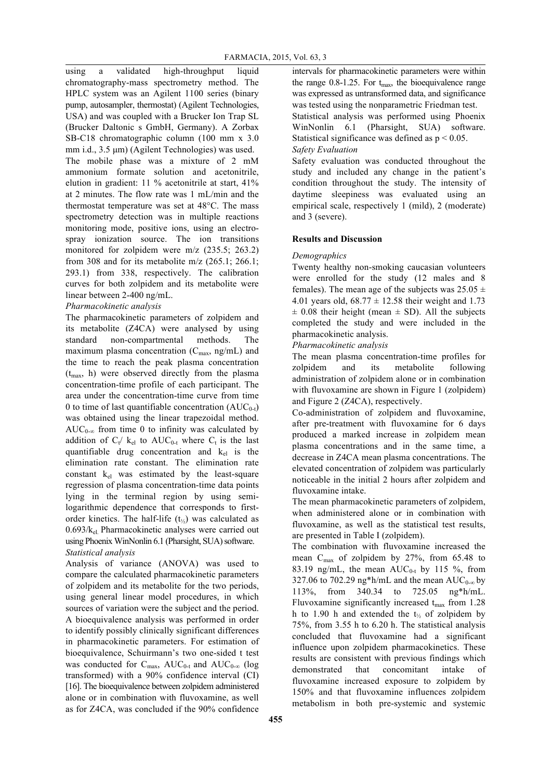using a validated high-throughput liquid chromatography-mass spectrometry method. The HPLC system was an Agilent 1100 series (binary pump, autosampler, thermostat) (Agilent Technologies, USA) and was coupled with a Brucker Ion Trap SL (Brucker Daltonic s GmbH, Germany). A Zorbax SB-C18 chromatographic column (100 mm x 3.0 mm i.d., 3.5 µm) (Agilent Technologies) was used. The mobile phase was a mixture of 2 mM ammonium formate solution and acetonitrile, elution in gradient: 11 % acetonitrile at start, 41% at 2 minutes. The flow rate was 1 mL/min and the thermostat temperature was set at 48°C. The mass spectrometry detection was in multiple reactions monitoring mode, positive ions, using an electrospray ionization source. The ion transitions monitored for zolpidem were m/z (235.5; 263.2) from 308 and for its metabolite m/z (265.1; 266.1; 293.1) from 338, respectively. The calibration curves for both zolpidem and its metabolite were linear between 2-400 ng/mL.

#### *Pharmacokinetic analysis*

The pharmacokinetic parameters of zolpidem and its metabolite (Z4CA) were analysed by using standard non-compartmental methods. The maximum plasma concentration  $(C_{\text{max}}, \text{ng/mL})$  and the time to reach the peak plasma concentration  $(t<sub>max</sub>, h)$  were observed directly from the plasma concentration-time profile of each participant. The area under the concentration-time curve from time 0 to time of last quantifiable concentration  $(AUC_{0-t})$ was obtained using the linear trapezoidal method.  $AUC_{0-\infty}$  from time 0 to infinity was calculated by addition of  $C_t$  k<sub>el</sub> to AUC<sub>0-t</sub> where  $C_t$  is the last quantifiable drug concentration and  $k<sub>el</sub>$  is the elimination rate constant. The elimination rate constant  $k_{el}$  was estimated by the least-square regression of plasma concentration-time data points lying in the terminal region by using semilogarithmic dependence that corresponds to firstorder kinetics. The half-life  $(t_{\frac{1}{2}})$  was calculated as 0.693/kel. Pharmacokinetic analyses were carried out using Phoenix WinNonlin 6.1 (Pharsight, SUA) software. *Statistical analysis*

Analysis of variance (ANOVA) was used to compare the calculated pharmacokinetic parameters of zolpidem and its metabolite for the two periods, using general linear model procedures, in which sources of variation were the subject and the period. A bioequivalence analysis was performed in order to identify possibly clinically significant differences in pharmacokinetic parameters. For estimation of bioequivalence, Schuirmann's two one-sided t test was conducted for  $C_{\text{max}}$ ,  $AUC_{0-t}$  and  $AUC_{0-\infty}$  (log transformed) with a 90% confidence interval (CI) [16]. The bioequivalence between zolpidem administered alone or in combination with fluvoxamine, as well as for Z4CA, was concluded if the 90% confidence

intervals for pharmacokinetic parameters were within the range  $0.8$ -1.25. For  $t_{\text{max}}$ , the bioequivalence range was expressed as untransformed data, and significance was tested using the nonparametric Friedman test.

Statistical analysis was performed using Phoenix WinNonlin 6.1 (Pharsight, SUA) software. Statistical significance was defined as  $p < 0.05$ . *Safety Evaluation*

Safety evaluation was conducted throughout the study and included any change in the patient's condition throughout the study. The intensity of daytime sleepiness was evaluated using an empirical scale, respectively 1 (mild), 2 (moderate) and 3 (severe).

### **Results and Discussion**

#### *Demographics*

Twenty healthy non-smoking caucasian volunteers were enrolled for the study (12 males and 8 females). The mean age of the subjects was  $25.05 \pm$ 4.01 years old,  $68.77 \pm 12.58$  their weight and 1.73  $\pm$  0.08 their height (mean  $\pm$  SD). All the subjects completed the study and were included in the pharmacokinetic analysis.

*Pharmacokinetic analysis*

The mean plasma concentration-time profiles for zolpidem and its metabolite following administration of zolpidem alone or in combination with fluvoxamine are shown in Figure 1 (zolpidem) and Figure 2 (Z4CA), respectively.

Co-administration of zolpidem and fluvoxamine, after pre-treatment with fluvoxamine for 6 days produced a marked increase in zolpidem mean plasma concentrations and in the same time, a decrease in Z4CA mean plasma concentrations. The elevated concentration of zolpidem was particularly noticeable in the initial 2 hours after zolpidem and fluvoxamine intake.

The mean pharmacokinetic parameters of zolpidem, when administered alone or in combination with fluvoxamine, as well as the statistical test results, are presented in Table I (zolpidem).

The combination with fluvoxamine increased the mean  $C_{\text{max}}$  of zolpidem by 27%, from 65.48 to 83.19 ng/mL, the mean  $AUC_{0-t}$  by 115 %, from 327.06 to 702.29 ng\*h/mL and the mean  $AUC_{0-\infty}$  by 113%, from 340.34 to 725.05 ng\*h/mL. Fluvoxamine significantly increased  $t_{\text{max}}$  from 1.28 h to 1.90 h and extended the  $t_{\frac{1}{2}}$  of zolpidem by 75%, from 3.55 h to 6.20 h. The statistical analysis concluded that fluvoxamine had a significant influence upon zolpidem pharmacokinetics. These results are consistent with previous findings which demonstrated that concomitant intake of fluvoxamine increased exposure to zolpidem by 150% and that fluvoxamine influences zolpidem metabolism in both pre-systemic and systemic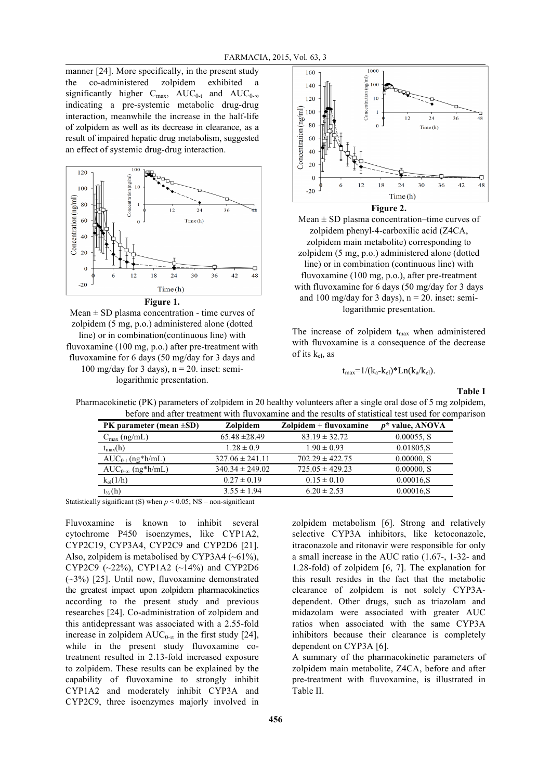manner [24]. More specifically, in the present study the co-administered zolpidem exhibited a significantly higher  $C_{\text{max}}$ ,  $AUC_{0-t}$  and  $AUC_{0-\infty}$ indicating a pre-systemic metabolic drug-drug interaction, meanwhile the increase in the half-life of zolpidem as well as its decrease in clearance, as a result of impaired hepatic drug metabolism, suggested an effect of systemic drug-drug interaction.



**Figure 1.**

 $Mean \pm SD$  plasma concentration - time curves of zolpidem (5 mg, p.o.) administered alone (dotted line) or in combination(continuous line) with fluvoxamine (100 mg, p.o.) after pre-treatment with fluvoxamine for 6 days (50 mg/day for 3 days and 100 mg/day for 3 days),  $n = 20$ . inset: semi-

logarithmic presentation.



Mean  $\pm$  SD plasma concentration–time curves of zolpidem phenyl-4-carboxilic acid (Z4CA, zolpidem main metabolite) corresponding to zolpidem (5 mg, p.o.) administered alone (dotted line) or in combination (continuous line) with fluvoxamine (100 mg, p.o.), after pre-treatment with fluvoxamine for 6 days (50 mg/day for 3 days and 100 mg/day for 3 days),  $n = 20$ . inset: semilogarithmic presentation.

The increase of zolpidem  $t_{\text{max}}$  when administered with fluvoxamine is a consequence of the decrease of its kel, as

 $t_{max}$ =1/(k<sub>a</sub>-k<sub>el</sub>)\*Ln(k<sub>a</sub>/k<sub>el</sub>).

**Table I**

Pharmacokinetic (PK) parameters of zolpidem in 20 healthy volunteers after a single oral dose of 5 mg zolpidem, before and after treatment with fluvoxamine and the results of statistical test used for comparison

| PK parameter (mean $\pm SD$ )                                      | Zolpidem            | Zolpidem + fluvoxamine | $p^*$ value, ANOVA |
|--------------------------------------------------------------------|---------------------|------------------------|--------------------|
| $C_{\text{max}}$ (ng/mL)                                           | $65.48 \pm 28.49$   | $83.19 \pm 32.72$      | 0.00055, S         |
| $t_{max}(h)$                                                       | $1.28 \pm 0.9$      | $1.90 \pm 0.93$        | 0.01805.S          |
| $AUC_{0-t}$ (ng*h/mL)                                              | $327.06 \pm 241.11$ | $702.29 \pm 422.75$    | $0.00000$ , S      |
| $AUC_{0-\infty}$ (ng*h/mL)                                         | $340.34 \pm 249.02$ | $725.05 \pm 429.23$    | $0.00000$ , S      |
| $k_{el}(1/h)$                                                      | $0.27 \pm 0.19$     | $0.15 \pm 0.10$        | $0.00016$ .S       |
| $t_{\frac{1}{2}}(h)$                                               | $3.55 \pm 1.94$     | $6.20 \pm 2.53$        | $0.00016$ .S       |
| $11 \quad 11 \quad 10 \quad 10$ $1 \quad 2005 \quad 110 \quad 101$ |                     |                        |                    |

Statistically significant (S) when *p* < 0.05; NS – non-significant

Fluvoxamine is known to inhibit several cytochrome P450 isoenzymes, like CYP1A2, CYP2C19, CYP3A4, CYP2C9 and CYP2D6 [21]. Also, zolpidem is metabolised by CYP3A4  $(-61\%)$ , CYP2C9 (~22%), CYP1A2 (~14%) and CYP2D6 (~3%) [25]. Until now, fluvoxamine demonstrated the greatest impact upon zolpidem pharmacokinetics according to the present study and previous researches [24]. Co-administration of zolpidem and this antidepressant was associated with a 2.55-fold increase in zolpidem  $AUC_{0,\infty}$  in the first study [24]. while in the present study fluvoxamine cotreatment resulted in 2.13-fold increased exposure to zolpidem. These results can be explained by the capability of fluvoxamine to strongly inhibit CYP1A2 and moderately inhibit CYP3A and CYP2C9, three isoenzymes majorly involved in

zolpidem metabolism [6]. Strong and relatively selective CYP3A inhibitors, like ketoconazole, itraconazole and ritonavir were responsible for only a small increase in the AUC ratio (1.67-, 1-32- and 1.28-fold) of zolpidem [6, 7]. The explanation for this result resides in the fact that the metabolic clearance of zolpidem is not solely CYP3Adependent. Other drugs, such as triazolam and midazolam were associated with greater AUC ratios when associated with the same CYP3A inhibitors because their clearance is completely dependent on CYP3A [6].

A summary of the pharmacokinetic parameters of zolpidem main metabolite, Z4CA, before and after pre-treatment with fluvoxamine, is illustrated in Table II.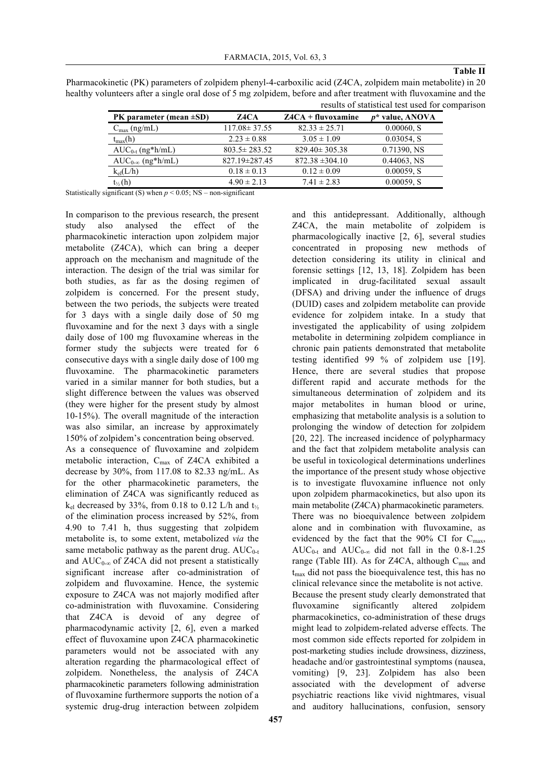Pharmacokinetic (PK) parameters of zolpidem phenyl-4-carboxilic acid (Z4CA, zolpidem main metabolite) in 20

#### **Table II**

| PK parameter (mean $\pm SD$ ) | Z4CA               | $Z4CA + fluxoxamine$ | $p^*$ value, ANOVA |
|-------------------------------|--------------------|----------------------|--------------------|
| $C_{\text{max}}$ (ng/mL)      | $117.08 \pm 37.55$ | $82.33 \pm 25.71$    | 0.00060, S         |
| $t_{max}(h)$                  | $2.23 \pm 0.88$    | $3.05 \pm 1.09$      | $0.03054$ , S      |
| $AUC_{0-t}$ (ng*h/mL)         | $803.5 \pm 283.52$ | $829.40 \pm 305.38$  | 0.71390, NS        |
| $AUC_{0-\infty}$ (ng*h/mL)    | 827.19±287.45      | $872.38 \pm 304.10$  | $0.44063$ , NS     |
| $k_{el}(L/h)$                 | $0.18 \pm 0.13$    | $0.12 \pm 0.09$      | 0.00059, S         |
| $t_{\frac{1}{2}}(h)$          | $4.90 \pm 2.13$    | $7.41 \pm 2.83$      | 0.00059, S         |

Statistically significant (S) when  $p \le 0.05$ ; NS – non-significant

In comparison to the previous research, the present study also analysed the effect of the pharmacokinetic interaction upon zolpidem major metabolite (Z4CA), which can bring a deeper approach on the mechanism and magnitude of the interaction. The design of the trial was similar for both studies, as far as the dosing regimen of zolpidem is concerned. For the present study, between the two periods, the subjects were treated for 3 days with a single daily dose of 50 mg fluvoxamine and for the next 3 days with a single daily dose of 100 mg fluvoxamine whereas in the former study the subjects were treated for 6 consecutive days with a single daily dose of 100 mg fluvoxamine. The pharmacokinetic parameters varied in a similar manner for both studies, but a slight difference between the values was observed (they were higher for the present study by almost 10-15%). The overall magnitude of the interaction was also similar, an increase by approximately 150% of zolpidem's concentration being observed. As a consequence of fluvoxamine and zolpidem metabolic interaction, Cmax of Z4CA exhibited a decrease by 30%, from 117.08 to 82.33 ng/mL. As for the other pharmacokinetic parameters, the elimination of Z4CA was significantly reduced as  $k_{el}$  decreased by 33%, from 0.18 to 0.12 L/h and  $t_{1/2}$ of the elimination process increased by 52%, from 4.90 to 7.41 h, thus suggesting that zolpidem metabolite is, to some extent, metabolized *via* the same metabolic pathway as the parent drug.  $AUC_{0-t}$ and  $AUC_{0-\infty}$  of Z4CA did not present a statistically significant increase after co-administration of zolpidem and fluvoxamine. Hence, the systemic exposure to Z4CA was not majorly modified after co-administration with fluvoxamine. Considering that Z4CA is devoid of any degree of pharmacodynamic activity [2, 6], even a marked effect of fluvoxamine upon Z4CA pharmacokinetic parameters would not be associated with any alteration regarding the pharmacological effect of zolpidem. Nonetheless, the analysis of Z4CA pharmacokinetic parameters following administration of fluvoxamine furthermore supports the notion of a systemic drug-drug interaction between zolpidem

Z4CA, the main metabolite of zolpidem is pharmacologically inactive [2, 6], several studies concentrated in proposing new methods of detection considering its utility in clinical and forensic settings [12, 13, 18]. Zolpidem has been implicated in drug-facilitated sexual assault (DFSA) and driving under the influence of drugs (DUID) cases and zolpidem metabolite can provide evidence for zolpidem intake. In a study that investigated the applicability of using zolpidem metabolite in determining zolpidem compliance in chronic pain patients demonstrated that metabolite testing identified 99 % of zolpidem use [19]. Hence, there are several studies that propose different rapid and accurate methods for the simultaneous determination of zolpidem and its major metabolites in human blood or urine, emphasizing that metabolite analysis is a solution to prolonging the window of detection for zolpidem [20, 22]. The increased incidence of polypharmacy and the fact that zolpidem metabolite analysis can be useful in toxicological determinations underlines the importance of the present study whose objective is to investigate fluvoxamine influence not only upon zolpidem pharmacokinetics, but also upon its main metabolite (Z4CA) pharmacokinetic parameters. There was no bioequivalence between zolpidem alone and in combination with fluvoxamine, as evidenced by the fact that the 90% CI for Cmax, AUC<sub>0-t</sub> and AUC<sub>0-∞</sub> did not fall in the 0.8-1.25 range (Table III). As for Z4CA, although  $C_{\text{max}}$  and  $t_{\text{max}}$  did not pass the bioequivalence test, this has no clinical relevance since the metabolite is not active. Because the present study clearly demonstrated that fluvoxamine significantly altered zolpidem pharmacokinetics, co-administration of these drugs might lead to zolpidem-related adverse effects. The most common side effects reported for zolpidem in post-marketing studies include drowsiness, dizziness, headache and/or gastrointestinal symptoms (nausea, vomiting) [9, 23]. Zolpidem has also been associated with the development of adverse psychiatric reactions like vivid nightmares, visual and auditory hallucinations, confusion, sensory

and this antidepressant. Additionally, although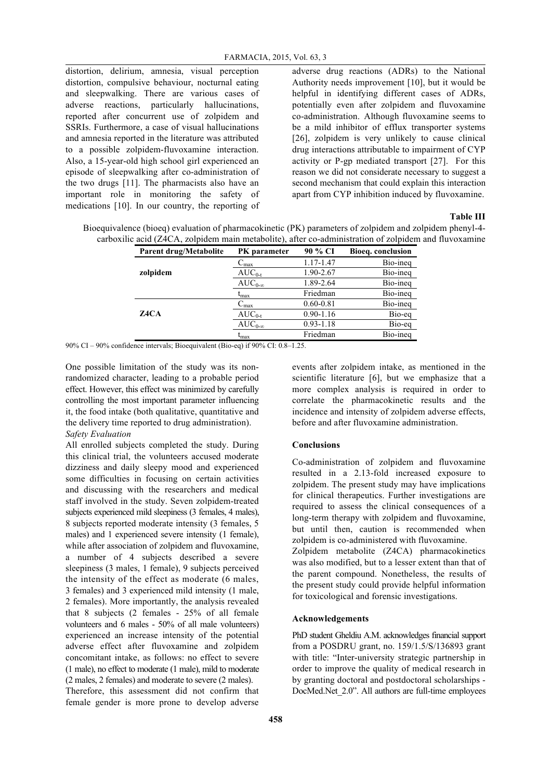distortion, delirium, amnesia, visual perception distortion, compulsive behaviour, nocturnal eating and sleepwalking. There are various cases of adverse reactions, particularly hallucinations, reported after concurrent use of zolpidem and SSRIs. Furthermore, a case of visual hallucinations and amnesia reported in the literature was attributed to a possible zolpidem-fluvoxamine interaction. Also, a 15-year-old high school girl experienced an episode of sleepwalking after co-administration of the two drugs [11]. The pharmacists also have an important role in monitoring the safety of medications [10]. In our country, the reporting of adverse drug reactions (ADRs) to the National Authority needs improvement [10], but it would be helpful in identifying different cases of ADRs, potentially even after zolpidem and fluvoxamine co-administration. Although fluvoxamine seems to be a mild inhibitor of efflux transporter systems [26], zolpidem is very unlikely to cause clinical drug interactions attributable to impairment of CYP activity or P-gp mediated transport [27]. For this reason we did not considerate necessary to suggest a second mechanism that could explain this interaction apart from CYP inhibition induced by fluvoxamine.

#### **Table III**

| $\mathfrak c$ acid ( $\mathcal L$ 4 $\mathfrak c$ A, zoipidem main metabolite), after co-administration of zoipidem |                     |               |                   |  |
|---------------------------------------------------------------------------------------------------------------------|---------------------|---------------|-------------------|--|
| <b>Parent drug/Metabolite</b>                                                                                       | <b>PK</b> parameter | 90 % CI       | Bioeg. conclusion |  |
|                                                                                                                     | $C_{\text{max}}$    | 1.17-1.47     | Bio-ineg          |  |
| zolpidem                                                                                                            | $AUC_{0-t}$         | 1.90-2.67     | Bio-ineg          |  |
|                                                                                                                     | $AUC_{0-\infty}$    | 1.89-2.64     | Bio-ineg          |  |
|                                                                                                                     | $t_{\text{max}}$    | Friedman      | Bio-ineg          |  |
|                                                                                                                     | $C_{\text{max}}$    | $0.60 - 0.81$ | Bio-ineg          |  |
| Z4CA                                                                                                                | $AUC_{0-t}$         | $0.90 - 1.16$ | Bio-eq            |  |
|                                                                                                                     | $AUC_{0-\infty}$    | $0.93 - 1.18$ | Bio-eq            |  |
|                                                                                                                     | $\rm t_{max}$       | Friedman      | Bio-ineg          |  |

Bioequivalence (bioeq) evaluation of pharmacokinetic (PK) parameters of zolpidem and zolpidem phenyl-4 carboxilic acid (Z4CA, zolpidem main metabolite), after co-administration of zolpidem and fluvoxamine

90% CI – 90% confidence intervals; Bioequivalent (Bio-eq) if 90% CI: 0.8–1.25.

One possible limitation of the study was its nonrandomized character, leading to a probable period effect. However, this effect was minimized by carefully controlling the most important parameter influencing it, the food intake (both qualitative, quantitative and the delivery time reported to drug administration). *Safety Evaluation* 

All enrolled subjects completed the study. During this clinical trial, the volunteers accused moderate dizziness and daily sleepy mood and experienced some difficulties in focusing on certain activities and discussing with the researchers and medical staff involved in the study. Seven zolpidem-treated subjects experienced mild sleepiness (3 females, 4 males), 8 subjects reported moderate intensity (3 females, 5 males) and 1 experienced severe intensity (1 female), while after association of zolpidem and fluvoxamine, a number of 4 subjects described a severe sleepiness (3 males, 1 female), 9 subjects perceived the intensity of the effect as moderate (6 males, 3 females) and 3 experienced mild intensity (1 male, 2 females). More importantly, the analysis revealed that 8 subjects (2 females - 25% of all female volunteers and 6 males - 50% of all male volunteers) experienced an increase intensity of the potential adverse effect after fluvoxamine and zolpidem concomitant intake, as follows: no effect to severe (1 male), no effect to moderate (1 male), mild to moderate (2 males, 2 females) and moderate to severe (2 males).

Therefore, this assessment did not confirm that female gender is more prone to develop adverse

events after zolpidem intake, as mentioned in the scientific literature [6], but we emphasize that a more complex analysis is required in order to correlate the pharmacokinetic results and the incidence and intensity of zolpidem adverse effects, before and after fluvoxamine administration.

#### **Conclusions**

Co-administration of zolpidem and fluvoxamine resulted in a 2.13-fold increased exposure to zolpidem. The present study may have implications for clinical therapeutics. Further investigations are required to assess the clinical consequences of a long-term therapy with zolpidem and fluvoxamine, but until then, caution is recommended when zolpidem is co-administered with fluvoxamine.

Zolpidem metabolite (Z4CA) pharmacokinetics was also modified, but to a lesser extent than that of the parent compound. Nonetheless, the results of the present study could provide helpful information for toxicological and forensic investigations.

#### **Acknowledgements**

PhD student Gheldiu A.M. acknowledges financial support from a POSDRU grant, no. 159/1.5/S/136893 grant with title: "Inter-university strategic partnership in order to improve the quality of medical research in by granting doctoral and postdoctoral scholarships - DocMed.Net 2.0". All authors are full-time employees